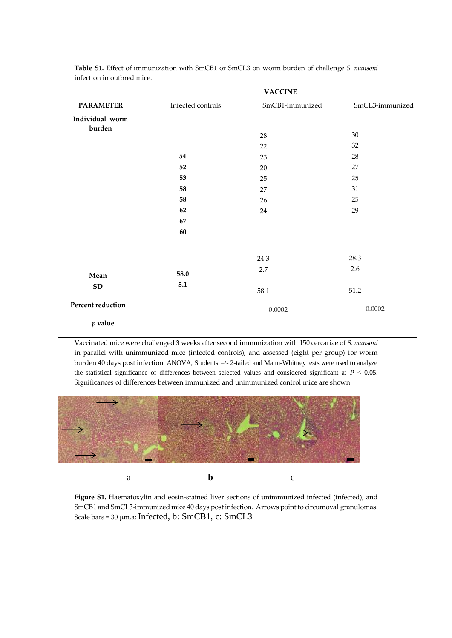| <b>PARAMETER</b>          | <b>VACCINE</b>    |                 |                 |
|---------------------------|-------------------|-----------------|-----------------|
|                           | Infected controls | SmCB1-immunized | SmCL3-immunized |
| Individual worm<br>burden |                   |                 |                 |
|                           |                   | 28              | $30\,$          |
|                           |                   | 22              | 32              |
|                           | 54                | 23              | 28              |
|                           | 52                | $20\,$          | $27\,$          |
|                           | 53                | 25              | 25              |
|                           | 58                | 27              | 31              |
|                           | 58                | 26              | 25              |
|                           | 62                | 24              | 29              |
|                           | 67                |                 |                 |
|                           | 60                |                 |                 |
|                           |                   | 24.3            | 28.3            |
|                           | 58.0              | 2.7             | 2.6             |
| Mean                      | 5.1               |                 |                 |
| ${\bf SD}$                |                   | 58.1            | 51.2            |
| Percent reduction         |                   | 0.0002          | 0.0002          |
| $p$ value                 |                   |                 |                 |

**Table S1.** Effect of immunization with SmCB1 or SmCL3 on worm burden of challenge *S. mansoni* infection in outbred mice.

Vaccinated mice were challenged 3 weeks after second immunization with 150 cercariae of *S. mansoni* in parallel with unimmunized mice (infected controls), and assessed (eight per group) for worm burden 40 days post infection. ANOVA, Students' –*t*- 2-tailed and Mann-Whitney tests were used to analyze the statistical significance of differences between selected values and considered significant at *P* < 0.05. Significances of differences between immunized and unimmunized control mice are shown.



**Figure S1.** Haematoxylin and eosin-stained liver sections of unimmunized infected (infected), and SmCB1 and SmCL3-immunized mice 40 days post infection. Arrows point to circumoval granulomas. Scale bars =  $30 \mu$ m.a: Infected, b: SmCB1, c: SmCL3